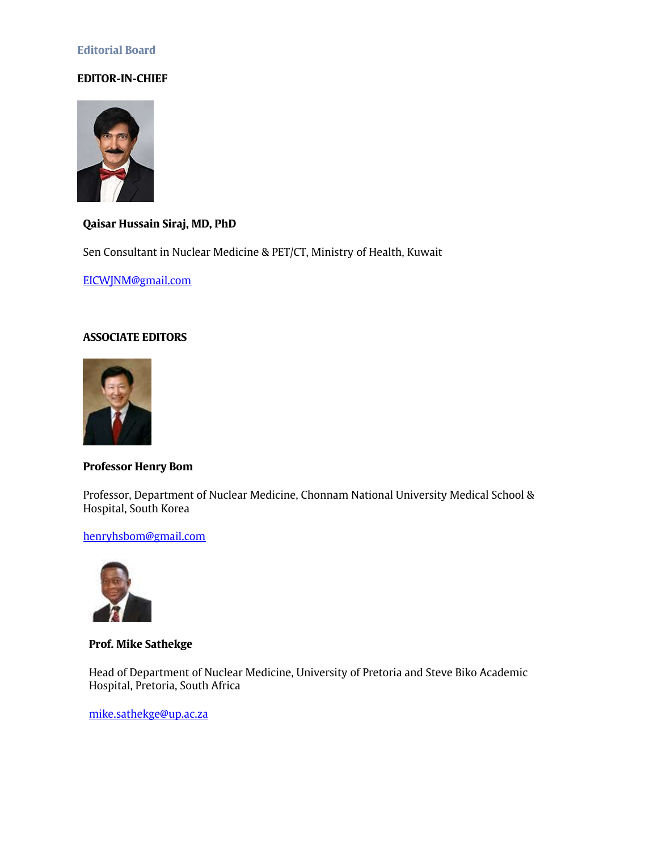# **Editorial Board**

# **EDITOR-IN-CHIEF**



**Qaisar Hussain Siraj, MD, PhD**

Sen Consultant in Nuclear Medicine & PET/CT, Ministry of Health, Kuwait

[EICWJNM@gmail.com](mailto:EICWJNM@gmail.com)

# **ASSOCIATE EDITORS**



# **Professor Henry Bom**

Professor, Department of Nuclear Medicine, Chonnam National University Medical School & Hospital, South Korea

## [henryhsbom@gmail.com](mailto:henryhsbom@gmail.com)



**Prof. Mike Sathekge**

Head of Department of Nuclear Medicine, University of Pretoria and Steve Biko Academic Hospital, Pretoria, South Africa

[mike.sathekge@up.ac.za](mailto:mike.sathekge@up.ac.za)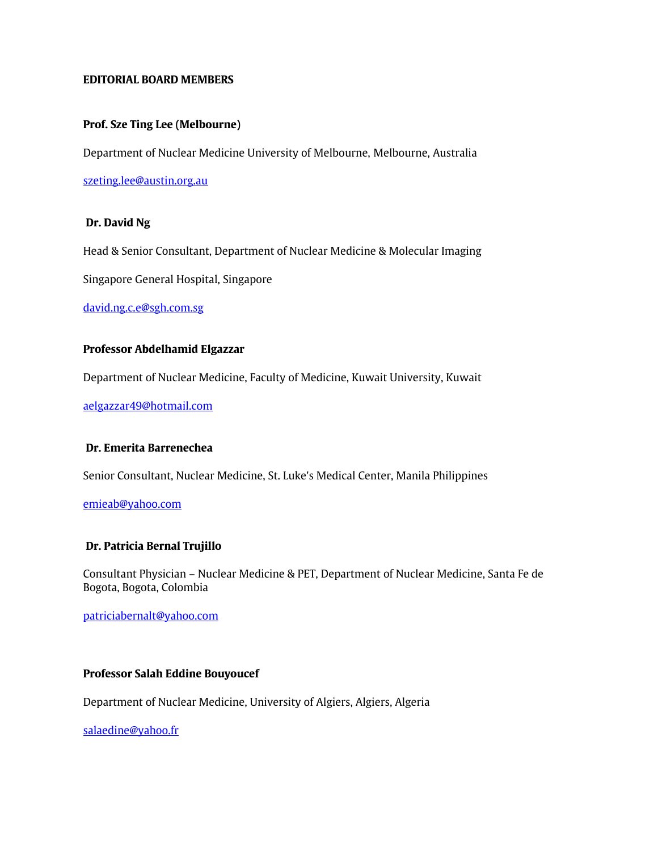## **EDITORIAL BOARD MEMBERS**

## **Prof. Sze Ting Lee (Melbourne)**

Department of Nuclear Medicine University of Melbourne, Melbourne, Australia

[szeting.lee@austin.org.au](mailto:szeting.lee@austin.org.au)

#### **Dr. David Ng**

Head & Senior Consultant, Department of Nuclear Medicine & Molecular Imaging

Singapore General Hospital, Singapore

[david.ng.c.e@sgh.com.sg](mailto:david.ng.c.e@sgh.com.sg)

#### **Professor Abdelhamid Elgazzar**

Department of Nuclear Medicine, Faculty of Medicine, Kuwait University, Kuwait

[aelgazzar49@hotmail.com](mailto:aelgazzar49@hotmail.com)

#### **Dr. Emerita Barrenechea**

Senior Consultant, Nuclear Medicine, St. Luke's Medical Center, Manila Philippines

[emieab@yahoo.com](mailto:emieab@yahoo.com)

#### **Dr. Patricia Bernal Trujillo**

Consultant Physician – Nuclear Medicine & PET, Department of Nuclear Medicine, Santa Fe de Bogota, Bogota, Colombia

[patriciabernalt@yahoo.com](mailto:patriciabarnalt@yahoo.com)

# **Professor Salah Eddine Bouyoucef**

Department of Nuclear Medicine, University of Algiers, Algiers, Algeria

[salaedine@yahoo.fr](mailto:salaedine@yahoo.fr)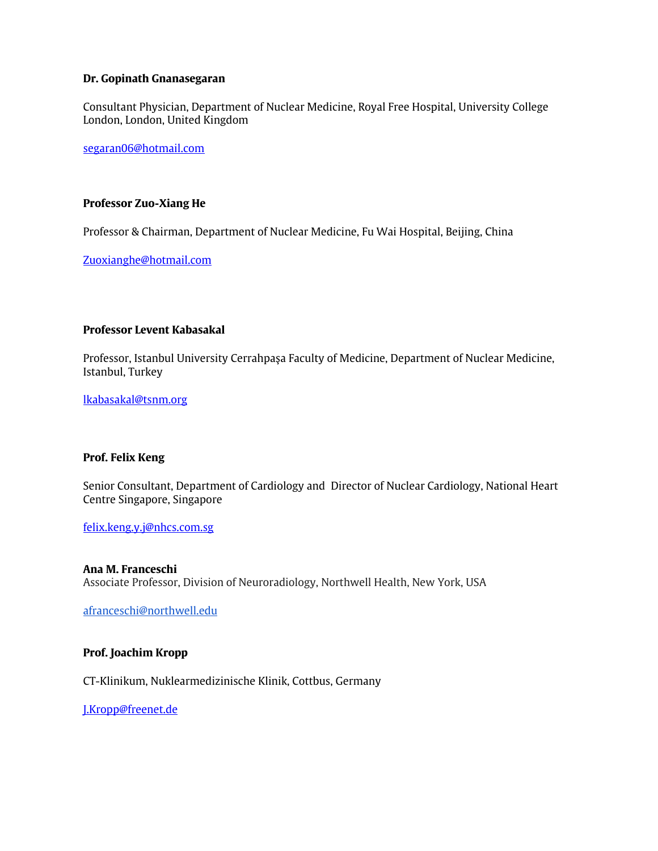#### **Dr. Gopinath Gnanasegaran**

Consultant Physician, Department of Nuclear Medicine, Royal Free Hospital, University College London, London, United Kingdom

[segaran06@hotmail.com](mailto:segaran06@hotmail.com)

### **Professor Zuo-Xiang He**

Professor & Chairman, Department of Nuclear Medicine, Fu Wai Hospital, Beijing, China

[Zuoxianghe@hotmail.com](mailto:Zuoxianghe@hotmail.com)

# **Professor Levent Kabasakal**

Professor, Istanbul University Cerrahpaşa Faculty of Medicine, Department of Nuclear Medicine, Istanbul, Turkey

[lkabasakal@tsnm.org](mailto:lkabasakal@tsnm.org)

## **Prof. Felix Keng**

Senior Consultant, Department of Cardiology and Director of Nuclear Cardiology, National Heart Centre Singapore, Singapore

[felix.keng.y.j@nhcs.com.sg](mailto:felix.keng.y.j@nhcs.com.sg)

**Ana M. Franceschi** Associate Professor, Division of Neuroradiology, Northwell Health, New York, USA

[afranceschi@northwell.edu](mailto:afranceschi@northwell.edu)

## **Prof. Joachim Kropp**

CT-Klinikum, Nuklearmedizinische Klinik, Cottbus, Germany

[J.Kropp@freenet.de](mailto:J.Kropp@freenet.de)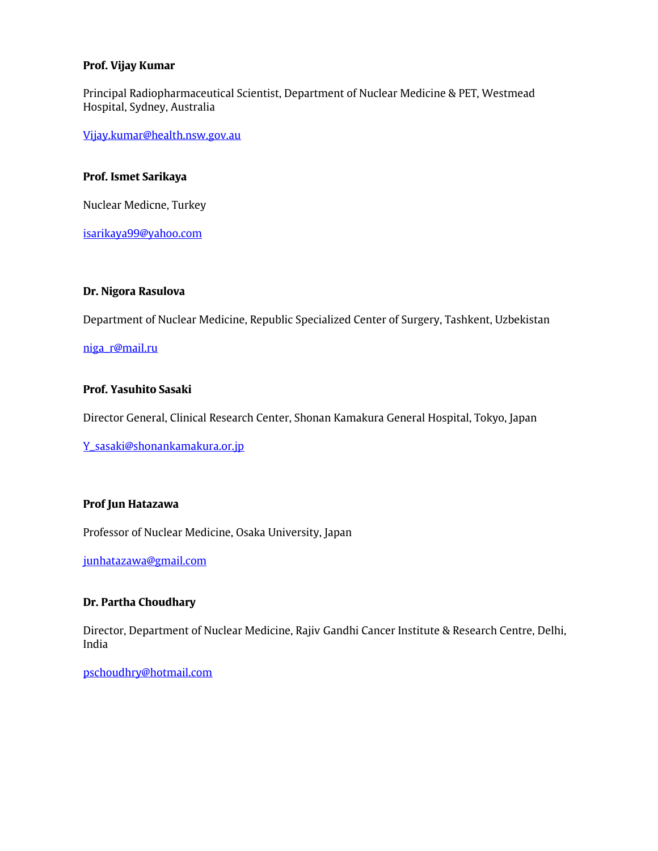# **Prof. Vijay Kumar**

Principal Radiopharmaceutical Scientist, Department of Nuclear Medicine & PET, Westmead Hospital, Sydney, Australia

[Vijay.kumar@health.nsw.gov.au](mailto:Vijay.kumar@health.nsw.gov.au)

### **Prof. Ismet Sarikaya**

Nuclear Medicne, Turkey

[isarikaya99@yahoo.com](mailto:Lepej.jan@gmail.com)

# **Dr. Nigora Rasulova**

Department of Nuclear Medicine, Republic Specialized Center of Surgery, Tashkent, Uzbekistan

[niga\\_r@mail.ru](mailto:niga_r@mail.ru)

## **Prof. Yasuhito Sasaki**

Director General, Clinical Research Center, Shonan Kamakura General Hospital, Tokyo, Japan

[Y\\_sasaki@shonankamakura.or.jp](mailto:Y_sasaki@shonankamakura.or.jp)

#### **Prof Jun Hatazawa**

Professor of Nuclear Medicine, Osaka University, Japan

[junhatazawa@gmail.com](mailto:junhatazawa@gmail.com)

## **Dr. Partha Choudhary**

Director, Department of Nuclear Medicine, Rajiv Gandhi Cancer Institute & Research Centre, Delhi, India

[pschoudhry@hotmail.com](mailto:pschoudhry@hotmail.com)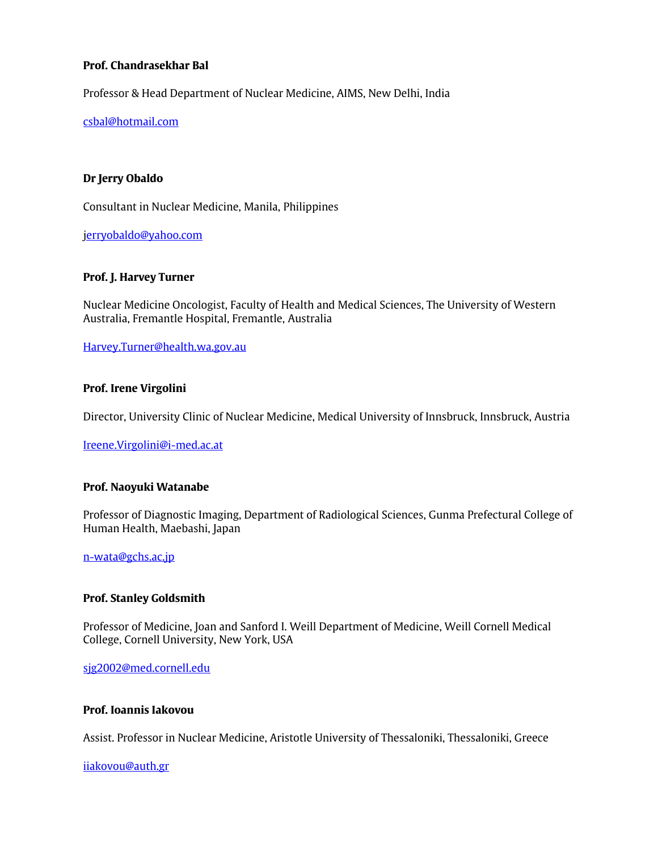# **Prof. Chandrasekhar Bal**

Professor & Head Department of Nuclear Medicine, AIMS, New Delhi, India

[csbal@hotmail.com](mailto:csbal@hotmail.com)

# **Dr Jerry Obaldo**

Consultant in Nuclear Medicine, Manila, Philippines

[jerryobaldo@yahoo.com](mailto:szilvasi2@gmail.com)

#### **Prof. J. Harvey Turner**

Nuclear Medicine Oncologist, Faculty of Health and Medical Sciences, The University of Western Australia, Fremantle Hospital, Fremantle, Australia

[Harvey.Turner@health.wa.gov.au](mailto:Harvey.Turner@health.wa.gov.au)

#### **Prof. Irene Virgolini**

Director, University Clinic of Nuclear Medicine, Medical University of Innsbruck, Innsbruck, Austria

[Ireene.Virgolini@i-med.ac.at](mailto:Ireene.Virgolini@i-med.ac.at)

#### **Prof. Naoyuki Watanabe**

Professor of Diagnostic Imaging, Department of Radiological Sciences, Gunma Prefectural College of Human Health, Maebashi, Japan

[n-wata@gchs.ac.jp](mailto:n-wata@gchs.ac.jp)

#### **Prof. Stanley Goldsmith**

Professor of Medicine, Joan and Sanford I. Weill Department of Medicine, Weill Cornell Medical College, Cornell University, New York, USA

[sjg2002@med.cornell.edu](mailto:sjg2002@med.cornell.edu)

## **Prof. Ioannis Iakovou**

Assist. Professor in Nuclear Medicine, Aristotle University of Thessaloniki, Thessaloniki, Greece

[iiakovou@auth.gr](mailto:iiakovou@auth.gr)